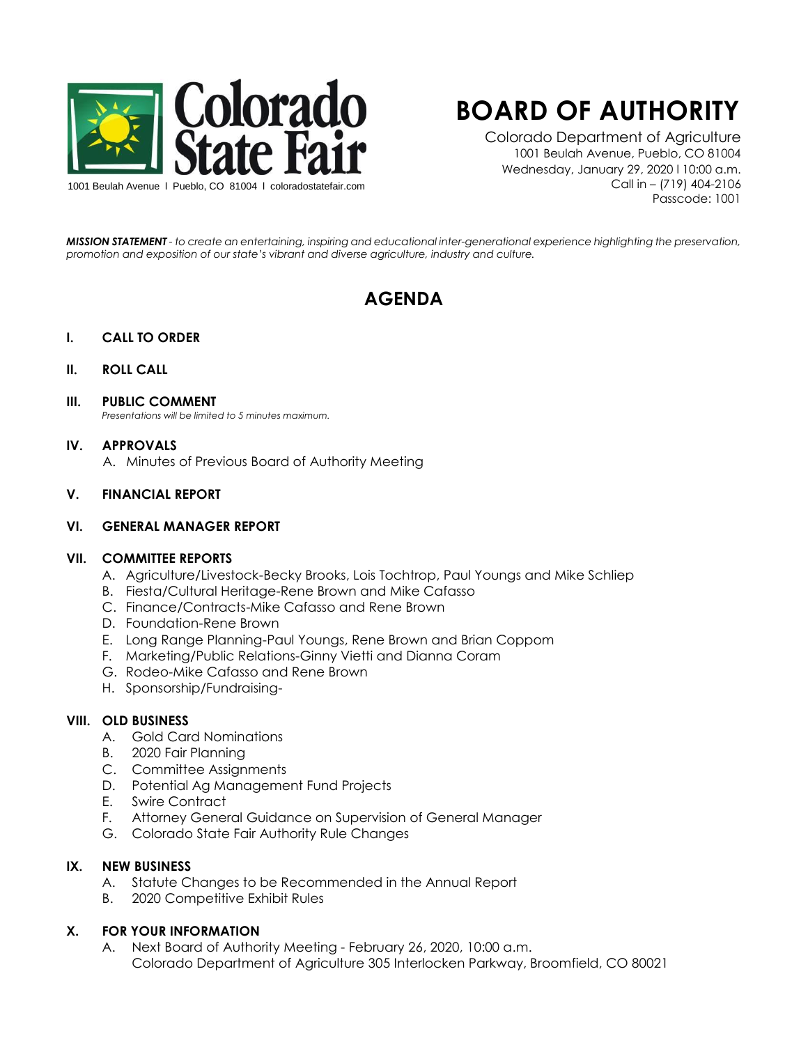

# **BOARD OF AUTHORITY**

Colorado Department of Agriculture 1001 Beulah Avenue, Pueblo, CO 81004 Wednesday, January 29, 2020 l 10:00 a.m. Call in – (719) 404-2106 Passcode: 1001

*MISSION STATEMENT - to create an entertaining, inspiring and educational inter-generational experience highlighting the preservation, promotion and exposition of our state's vibrant and diverse agriculture, industry and culture.*

# **AGENDA**

# **I. CALL TO ORDER**

#### **II. ROLL CALL**

#### **III. PUBLIC COMMENT**

*Presentations will be limited to 5 minutes maximum.* 

#### **IV. APPROVALS**

A. Minutes of Previous Board of Authority Meeting

# **V. FINANCIAL REPORT**

#### **VI. GENERAL MANAGER REPORT**

# **VII. COMMITTEE REPORTS**

- A. Agriculture/Livestock-Becky Brooks, Lois Tochtrop, Paul Youngs and Mike Schliep
- B. Fiesta/Cultural Heritage-Rene Brown and Mike Cafasso
- C. Finance/Contracts-Mike Cafasso and Rene Brown
- D. Foundation-Rene Brown
- E. Long Range Planning-Paul Youngs, Rene Brown and Brian Coppom
- F. Marketing/Public Relations-Ginny Vietti and Dianna Coram
- G. Rodeo-Mike Cafasso and Rene Brown
- H. Sponsorship/Fundraising-

# **VIII. OLD BUSINESS**

- A. Gold Card Nominations
- B. 2020 Fair Planning
- C. Committee Assignments
- D. Potential Ag Management Fund Projects
- E. Swire Contract
- F. Attorney General Guidance on Supervision of General Manager
- G. Colorado State Fair Authority Rule Changes

# **IX. NEW BUSINESS**

- A. Statute Changes to be Recommended in the Annual Report
- B. 2020 Competitive Exhibit Rules

# **X. FOR YOUR INFORMATION**

A. Next Board of Authority Meeting - February 26, 2020, 10:00 a.m. Colorado Department of Agriculture 305 Interlocken Parkway, Broomfield, CO 80021